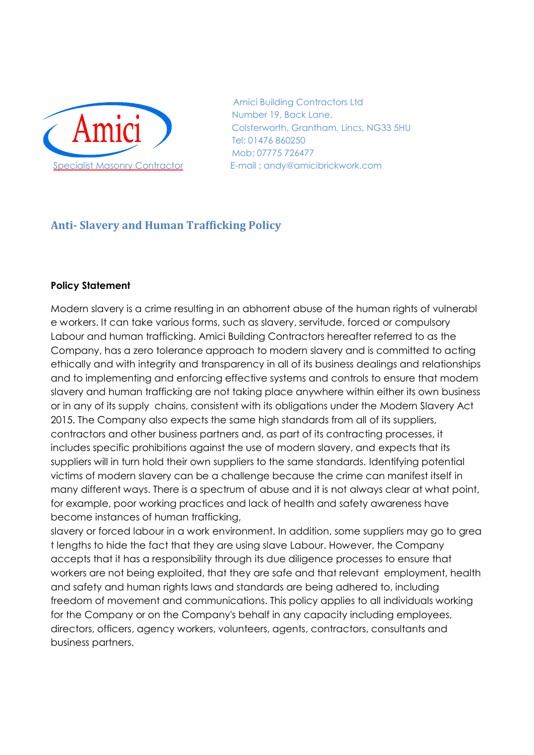

 Amici Building Contractors Ltd Number 19, Back Lane, Colsterworth, Grantham, Lincs, NG33 5HU Tel; 01476 860250 Mob; 07775 726477 Specialist Masonry Contractor E-mail ; andy@amicibrickwork.com

# **Anti- Slavery and Human Trafficking Policy**

#### **Policy Statement**

Modern slavery is a crime resulting in an abhorrent abuse of the human rights of vulnerabl e workers. It can take various forms, such as slavery, servitude, forced or compulsory Labour and human trafficking. Amici Building Contractors hereafter referred to as the Company, has a zero tolerance approach to modern slavery and is committed to acting ethically and with integrity and transparency in all of its business dealings and relationships and to implementing and enforcing effective systems and controls to ensure that modem slavery and human trafficking are not taking place anywhere within either its own business or in any of its supply chains, consistent with its obligations under the Modern Slavery Act 2015. The Company also expects the same high standards from all of its suppliers, contractors and other business partners and, as part of its contracting processes, it includes specific prohibitions against the use of modern slavery, and expects that its suppliers will in turn hold their own suppliers to the same standards. Identifying potential victims of modern slavery can be a challenge because the crime can manifest itself in many different ways. There is a spectrum of abuse and it is not always clear at what point, for example, poor working practices and lack of health and safety awareness have become instances of human trafficking,

slavery or forced labour in a work environment. In addition, some suppliers may go to grea t lengths to hide the fact that they are using slave Labour. However, the Company accepts that it has a responsibility through its due diligence processes to ensure that workers are not being exploited, that they are safe and that relevant employment, health and safety and human rights laws and standards are being adhered to, including freedom of movement and communications. This policy applies to all individuals working for the Company or on the Company's behalf in any capacity including employees, directors, officers, agency workers, volunteers, agents, contractors, consultants and business partners.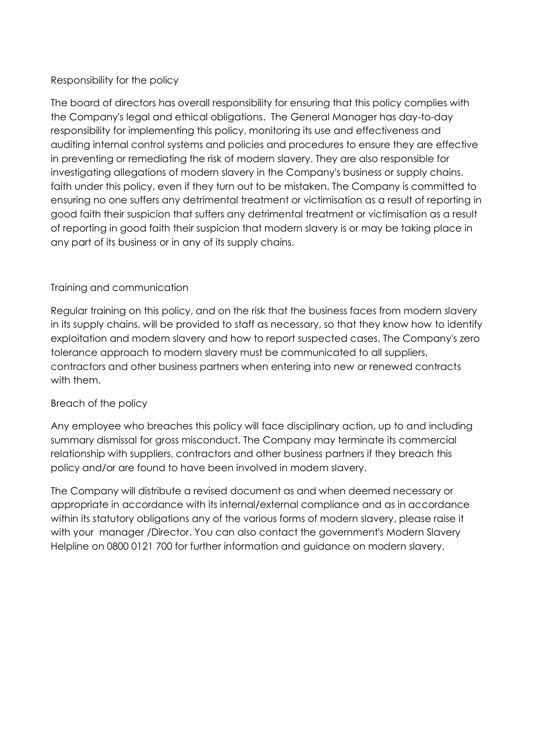## Responsibility for the policy

The board of directors has overall responsibility for ensuring that this policy complies with the Company's legal and ethical obligations. The General Manager has day-to-day responsibility for implementing this policy, monitoring its use and effectiveness and auditing internal control systems and policies and procedures to ensure they are effective in preventing or remediating the risk of modern slavery. They are also responsible for investigating allegations of modern slavery in the Company's business or supply chains. faith under this policy, even if they turn out to be mistaken. The Company is committed to ensuring no one suffers any detrimental treatment or victimisation as a result of reporting in good faith their suspicion that suffers any detrimental treatment or victimisation as a result of reporting in good faith their suspicion that modern slavery is or may be taking place in any part of its business or in any of its supply chains.

## Training and communication

Regular training on this policy, and on the risk that the business faces from modern slavery in its supply chains, will be provided to staff as necessary, so that they know how to identify exploitation and modem slavery and how to report suspected cases. The Company's zero tolerance approach to modern slavery must be communicated to all suppliers, contractors and other business partners when entering into new or renewed contracts with them.

## Breach of the policy

Any employee who breaches this policy will face disciplinary action, up to and including summary dismissal for gross misconduct. The Company may terminate its commercial relationship with suppliers, contractors and other business partners if they breach this policy and/or are found to have been involved in modem slavery.

The Company will distribute a revised document as and when deemed necessary or appropriate in accordance with its internal/external compliance and as in accordance within its statutory obligations any of the various forms of modern slavery, please raise it with your manager /Director. You can also contact the government's Modern Slavery Helpline on 0800 0121 700 for further information and guidance on modern slavery.